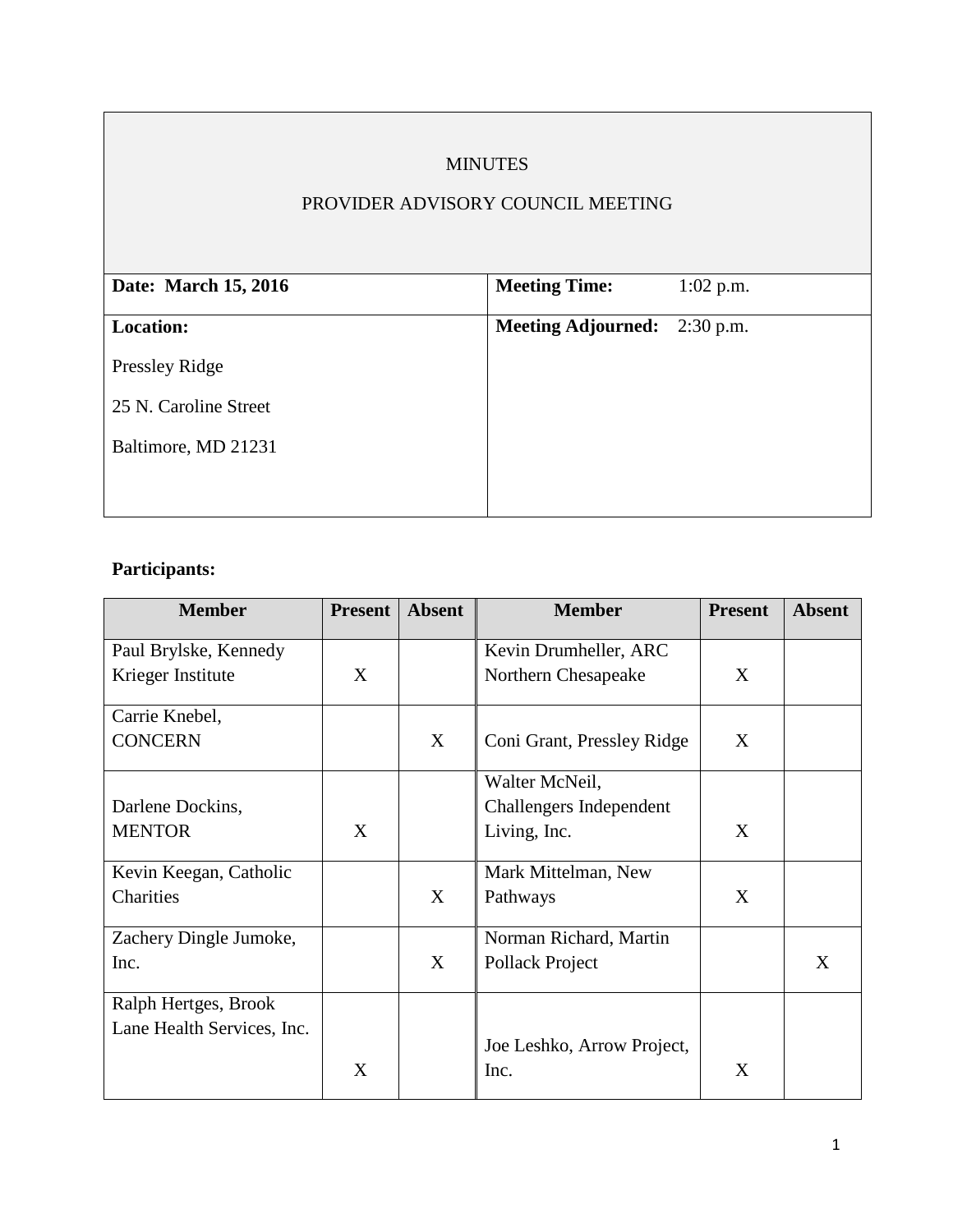### MINUTES

#### PROVIDER ADVISORY COUNCIL MEETING

| <b>Meeting Time:</b>                | $1:02$ p.m. |
|-------------------------------------|-------------|
| <b>Meeting Adjourned:</b> 2:30 p.m. |             |
|                                     |             |
|                                     |             |
|                                     |             |
|                                     |             |
|                                     |             |

# **Participants:**

| <b>Member</b>              | <b>Present</b> | <b>Absent</b> | <b>Member</b>              | <b>Present</b> | <b>Absent</b> |
|----------------------------|----------------|---------------|----------------------------|----------------|---------------|
| Paul Brylske, Kennedy      |                |               | Kevin Drumheller, ARC      |                |               |
| Krieger Institute          | X              |               | Northern Chesapeake        | X              |               |
| Carrie Knebel,             |                |               |                            |                |               |
| <b>CONCERN</b>             |                | X             | Coni Grant, Pressley Ridge | X              |               |
|                            |                |               | Walter McNeil,             |                |               |
| Darlene Dockins,           |                |               | Challengers Independent    |                |               |
| <b>MENTOR</b>              | X              |               | Living, Inc.               | X              |               |
| Kevin Keegan, Catholic     |                |               | Mark Mittelman, New        |                |               |
| Charities                  |                | X             | Pathways                   | X              |               |
| Zachery Dingle Jumoke,     |                |               | Norman Richard, Martin     |                |               |
| Inc.                       |                | X             | Pollack Project            |                | X             |
| Ralph Hertges, Brook       |                |               |                            |                |               |
| Lane Health Services, Inc. |                |               |                            |                |               |
|                            |                |               | Joe Leshko, Arrow Project, |                |               |
|                            | X              |               | Inc.                       | X              |               |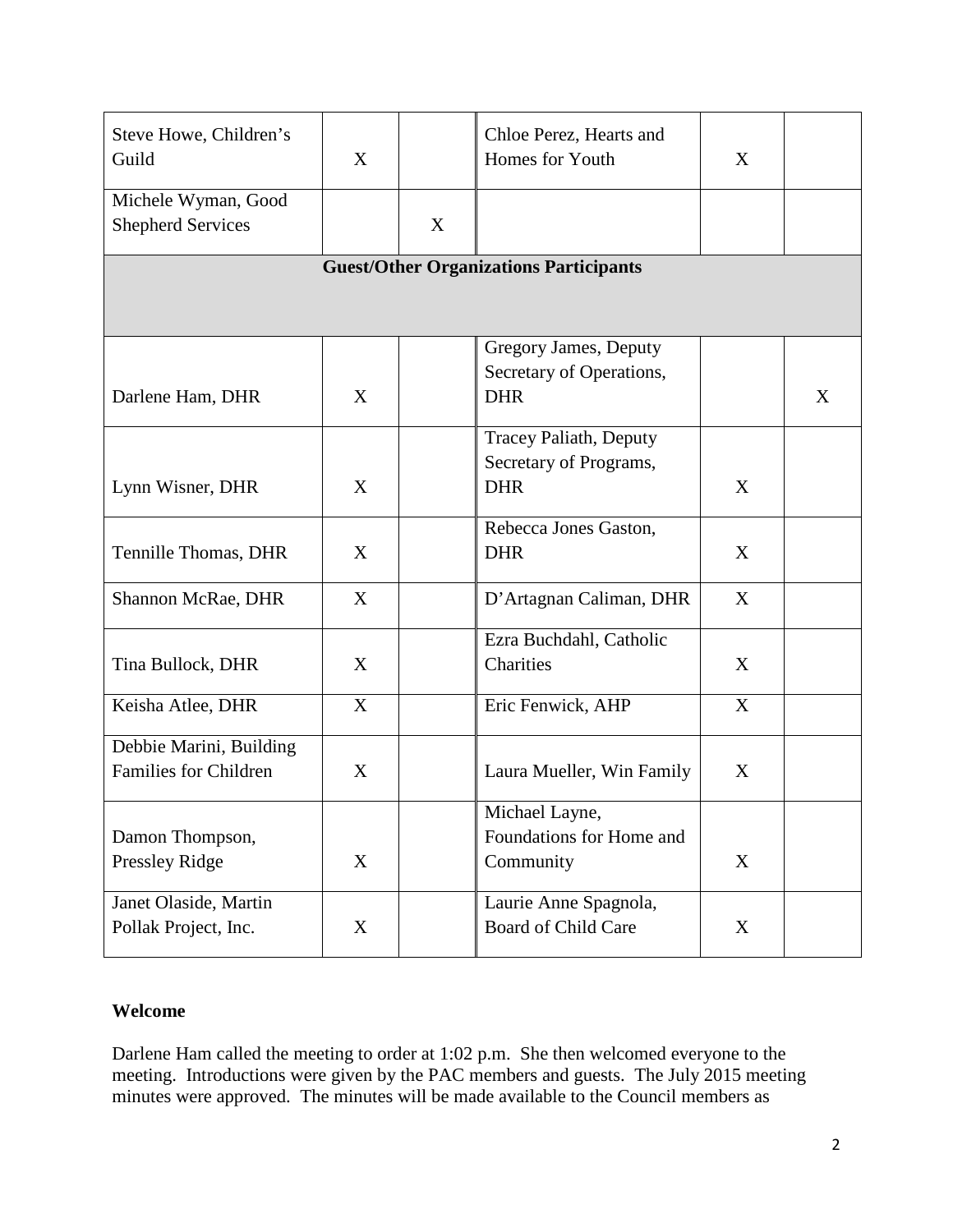| Steve Howe, Children's<br>Guild                         | X |   | Chloe Perez, Hearts and<br>Homes for Youth                            | X           |   |  |  |  |  |
|---------------------------------------------------------|---|---|-----------------------------------------------------------------------|-------------|---|--|--|--|--|
| Michele Wyman, Good<br><b>Shepherd Services</b>         |   | X |                                                                       |             |   |  |  |  |  |
| <b>Guest/Other Organizations Participants</b>           |   |   |                                                                       |             |   |  |  |  |  |
| Darlene Ham, DHR                                        | X |   | Gregory James, Deputy<br>Secretary of Operations,<br><b>DHR</b>       |             | X |  |  |  |  |
| Lynn Wisner, DHR                                        | X |   | <b>Tracey Paliath, Deputy</b><br>Secretary of Programs,<br><b>DHR</b> | X           |   |  |  |  |  |
| Tennille Thomas, DHR                                    | X |   | Rebecca Jones Gaston,<br><b>DHR</b>                                   | X           |   |  |  |  |  |
| Shannon McRae, DHR                                      | X |   | D'Artagnan Caliman, DHR                                               | X           |   |  |  |  |  |
| Tina Bullock, DHR                                       | X |   | Ezra Buchdahl, Catholic<br>Charities                                  | X           |   |  |  |  |  |
| Keisha Atlee, DHR                                       | X |   | Eric Fenwick, AHP                                                     | X           |   |  |  |  |  |
| Debbie Marini, Building<br><b>Families for Children</b> | X |   | Laura Mueller, Win Family                                             | X           |   |  |  |  |  |
| Damon Thompson,<br>Pressley Ridge                       | X |   | Michael Layne,<br>Foundations for Home and<br>Community               | X           |   |  |  |  |  |
| Janet Olaside, Martin<br>Pollak Project, Inc.           | X |   | Laurie Anne Spagnola,<br>Board of Child Care                          | $\mathbf X$ |   |  |  |  |  |

#### **Welcome**

Darlene Ham called the meeting to order at 1:02 p.m. She then welcomed everyone to the meeting. Introductions were given by the PAC members and guests. The July 2015 meeting minutes were approved. The minutes will be made available to the Council members as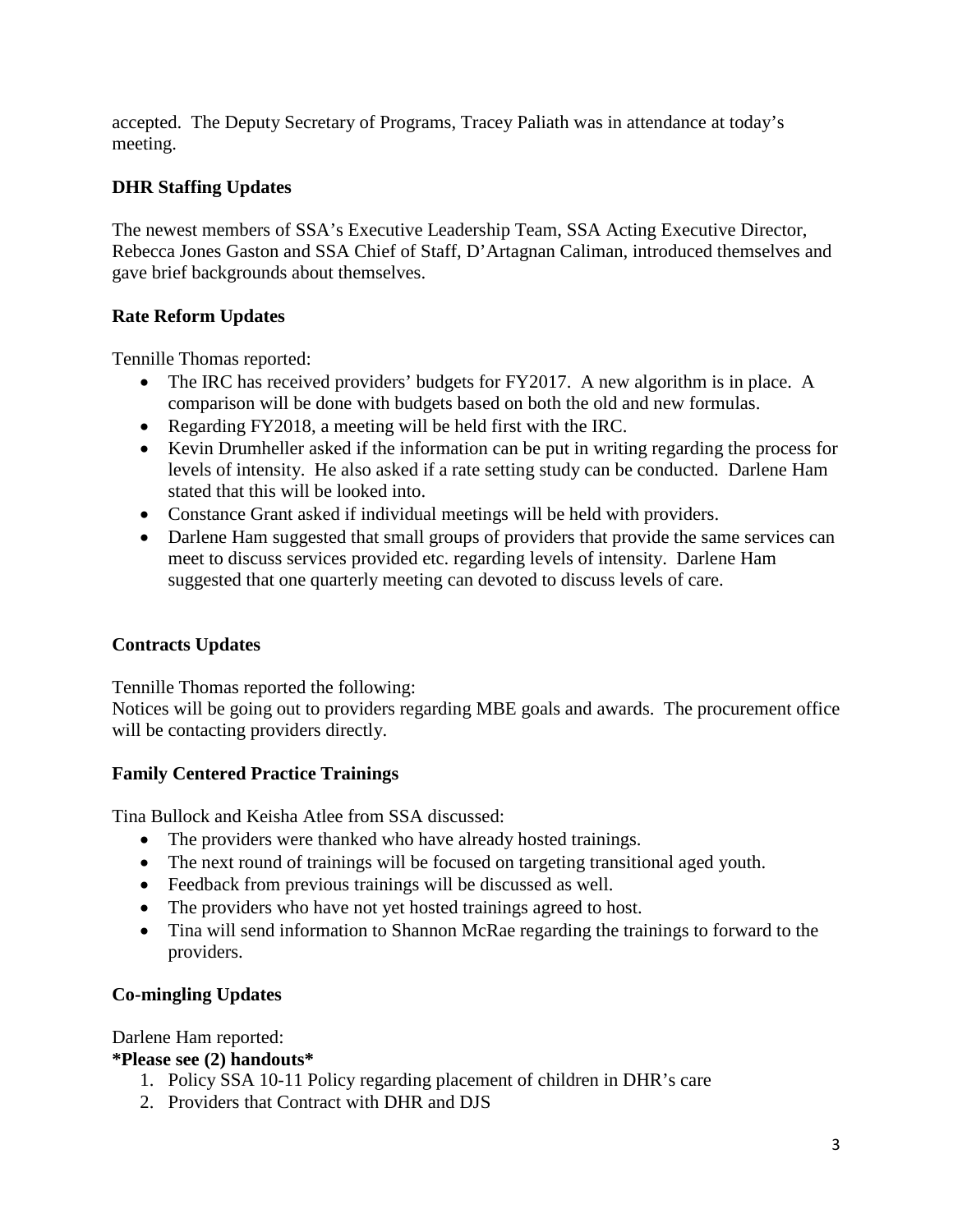accepted. The Deputy Secretary of Programs, Tracey Paliath was in attendance at today's meeting.

## **DHR Staffing Updates**

The newest members of SSA's Executive Leadership Team, SSA Acting Executive Director, Rebecca Jones Gaston and SSA Chief of Staff, D'Artagnan Caliman, introduced themselves and gave brief backgrounds about themselves.

## **Rate Reform Updates**

Tennille Thomas reported:

- The IRC has received providers' budgets for FY2017. A new algorithm is in place. A comparison will be done with budgets based on both the old and new formulas.
- Regarding FY2018, a meeting will be held first with the IRC.
- Kevin Drumheller asked if the information can be put in writing regarding the process for levels of intensity. He also asked if a rate setting study can be conducted. Darlene Ham stated that this will be looked into.
- Constance Grant asked if individual meetings will be held with providers.
- Darlene Ham suggested that small groups of providers that provide the same services can meet to discuss services provided etc. regarding levels of intensity. Darlene Ham suggested that one quarterly meeting can devoted to discuss levels of care.

### **Contracts Updates**

Tennille Thomas reported the following:

Notices will be going out to providers regarding MBE goals and awards. The procurement office will be contacting providers directly.

### **Family Centered Practice Trainings**

Tina Bullock and Keisha Atlee from SSA discussed:

- The providers were thanked who have already hosted trainings.
- The next round of trainings will be focused on targeting transitional aged youth.
- Feedback from previous trainings will be discussed as well.
- The providers who have not yet hosted trainings agreed to host.
- Tina will send information to Shannon McRae regarding the trainings to forward to the providers.

## **Co-mingling Updates**

Darlene Ham reported:

### **\*Please see (2) handouts\***

- 1. Policy SSA 10-11 Policy regarding placement of children in DHR's care
- 2. Providers that Contract with DHR and DJS